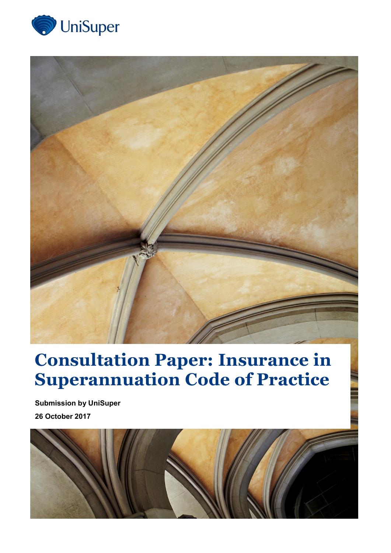



# **Consultation Paper: Insurance in Superannuation Code of Practice**

**Submission by UniSuper 26 October 2017**

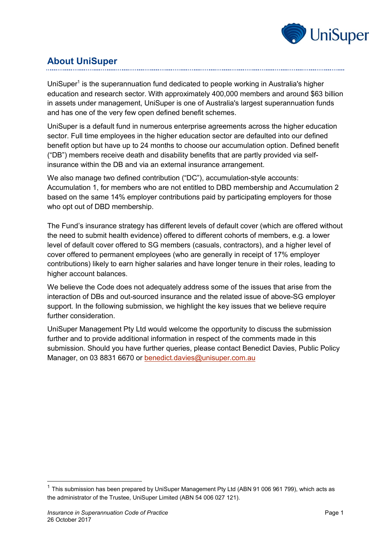

# **About UniSuper**

UniSuper<sup>1</sup> is the superannuation fund dedicated to people working in Australia's higher education and research sector. With approximately 400,000 members and around \$63 billion in assets under management, UniSuper is one of Australia's largest superannuation funds and has one of the very few open defined benefit schemes.

UniSuper is a default fund in numerous enterprise agreements across the higher education sector. Full time employees in the higher education sector are defaulted into our defined benefit option but have up to 24 months to choose our accumulation option. Defined benefit ("DB") members receive death and disability benefits that are partly provided via selfinsurance within the DB and via an external insurance arrangement.

We also manage two defined contribution ("DC"), accumulation-style accounts: Accumulation 1, for members who are not entitled to DBD membership and Accumulation 2 based on the same 14% employer contributions paid by participating employers for those who opt out of DBD membership.

The Fund's insurance strategy has different levels of default cover (which are offered without the need to submit health evidence) offered to different cohorts of members, e.g. a lower level of default cover offered to SG members (casuals, contractors), and a higher level of cover offered to permanent employees (who are generally in receipt of 17% employer contributions) likely to earn higher salaries and have longer tenure in their roles, leading to higher account balances.

We believe the Code does not adequately address some of the issues that arise from the interaction of DBs and out-sourced insurance and the related issue of above-SG employer support. In the following submission, we highlight the key issues that we believe require further consideration.

UniSuper Management Pty Ltd would welcome the opportunity to discuss the submission further and to provide additional information in respect of the comments made in this submission. Should you have further queries, please contact Benedict Davies, Public Policy Manager, on 03 8831 6670 or [benedict.davies@unisuper.com.au](mailto:benedict.davies@unisuper.com.au)

-

 $1$  This submission has been prepared by UniSuper Management Pty Ltd (ABN 91 006 961 799), which acts as the administrator of the Trustee, UniSuper Limited (ABN 54 006 027 121).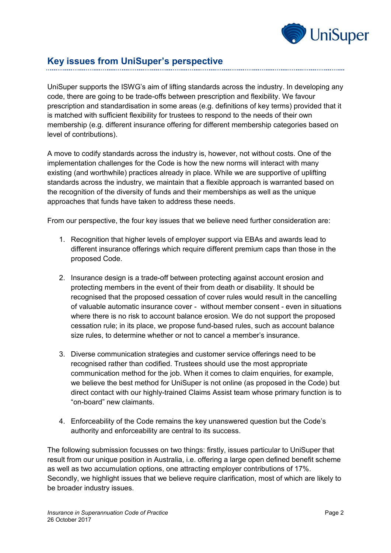

# **Key issues from UniSuper's perspective**

UniSuper supports the ISWG's aim of lifting standards across the industry. In developing any code, there are going to be trade-offs between prescription and flexibility. We favour prescription and standardisation in some areas (e.g. definitions of key terms) provided that it is matched with sufficient flexibility for trustees to respond to the needs of their own membership (e.g. different insurance offering for different membership categories based on level of contributions).

A move to codify standards across the industry is, however, not without costs. One of the implementation challenges for the Code is how the new norms will interact with many existing (and worthwhile) practices already in place. While we are supportive of uplifting standards across the industry, we maintain that a flexible approach is warranted based on the recognition of the diversity of funds and their memberships as well as the unique approaches that funds have taken to address these needs.

From our perspective, the four key issues that we believe need further consideration are:

- 1. Recognition that higher levels of employer support via EBAs and awards lead to different insurance offerings which require different premium caps than those in the proposed Code.
- 2. Insurance design is a trade-off between protecting against account erosion and protecting members in the event of their from death or disability. It should be recognised that the proposed cessation of cover rules would result in the cancelling of valuable automatic insurance cover - without member consent - even in situations where there is no risk to account balance erosion. We do not support the proposed cessation rule; in its place, we propose fund-based rules, such as account balance size rules, to determine whether or not to cancel a member's insurance.
- 3. Diverse communication strategies and customer service offerings need to be recognised rather than codified. Trustees should use the most appropriate communication method for the job. When it comes to claim enquiries, for example, we believe the best method for UniSuper is not online (as proposed in the Code) but direct contact with our highly-trained Claims Assist team whose primary function is to "on-board" new claimants.
- 4. Enforceability of the Code remains the key unanswered question but the Code's authority and enforceability are central to its success.

The following submission focusses on two things: firstly, issues particular to UniSuper that result from our unique position in Australia, i.e. offering a large open defined benefit scheme as well as two accumulation options, one attracting employer contributions of 17%. Secondly, we highlight issues that we believe require clarification, most of which are likely to be broader industry issues.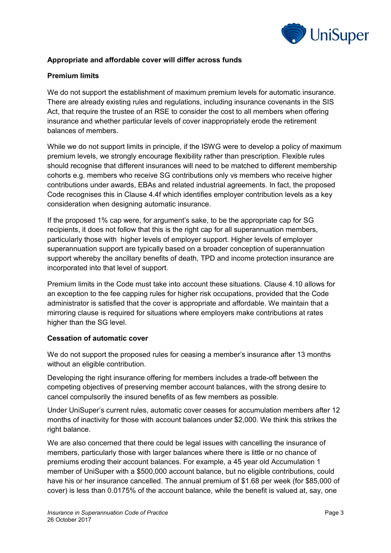

# **Appropriate and affordable cover will differ across funds**

## **Premium limits**

We do not support the establishment of maximum premium levels for automatic insurance. There are already existing rules and regulations, including insurance covenants in the SIS Act, that require the trustee of an RSE to consider the cost to all members when offering insurance and whether particular levels of cover inappropriately erode the retirement balances of members.

While we do not support limits in principle, if the ISWG were to develop a policy of maximum premium levels, we strongly encourage flexibility rather than prescription. Flexible rules should recognise that different insurances will need to be matched to different membership cohorts e.g. members who receive SG contributions only vs members who receive higher contributions under awards, EBAs and related industrial agreements. In fact, the proposed Code recognises this in Clause 4.4f which identifies employer contribution levels as a key consideration when designing automatic insurance.

If the proposed 1% cap were, for argument's sake, to be the appropriate cap for SG recipients, it does not follow that this is the right cap for all superannuation members, particularly those with higher levels of employer support. Higher levels of employer superannuation support are typically based on a broader conception of superannuation support whereby the ancillary benefits of death, TPD and income protection insurance are incorporated into that level of support.

Premium limits in the Code must take into account these situations. Clause 4.10 allows for an exception to the fee capping rules for higher risk occupations, provided that the Code administrator is satisfied that the cover is appropriate and affordable. We maintain that a mirroring clause is required for situations where employers make contributions at rates higher than the SG level.

#### **Cessation of automatic cover**

We do not support the proposed rules for ceasing a member's insurance after 13 months without an eligible contribution.

Developing the right insurance offering for members includes a trade-off between the competing objectives of preserving member account balances, with the strong desire to cancel compulsorily the insured benefits of as few members as possible.

Under UniSuper's current rules, automatic cover ceases for accumulation members after 12 months of inactivity for those with account balances under \$2,000. We think this strikes the right balance.

We are also concerned that there could be legal issues with cancelling the insurance of members, particularly those with larger balances where there is little or no chance of premiums eroding their account balances. For example, a 45 year old Accumulation 1 member of UniSuper with a \$500,000 account balance, but no eligible contributions, could have his or her insurance cancelled. The annual premium of \$1.68 per week (for \$85,000 of cover) is less than 0.0175% of the account balance, while the benefit is valued at, say, one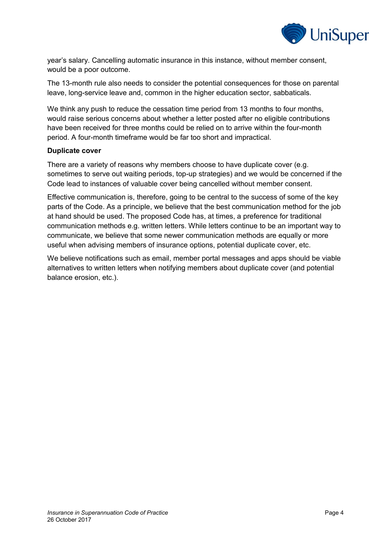

year's salary. Cancelling automatic insurance in this instance, without member consent, would be a poor outcome.

The 13-month rule also needs to consider the potential consequences for those on parental leave, long-service leave and, common in the higher education sector, sabbaticals.

We think any push to reduce the cessation time period from 13 months to four months, would raise serious concerns about whether a letter posted after no eligible contributions have been received for three months could be relied on to arrive within the four-month period. A four-month timeframe would be far too short and impractical.

#### **Duplicate cover**

There are a variety of reasons why members choose to have duplicate cover (e.g. sometimes to serve out waiting periods, top-up strategies) and we would be concerned if the Code lead to instances of valuable cover being cancelled without member consent.

Effective communication is, therefore, going to be central to the success of some of the key parts of the Code. As a principle, we believe that the best communication method for the job at hand should be used. The proposed Code has, at times, a preference for traditional communication methods e.g. written letters. While letters continue to be an important way to communicate, we believe that some newer communication methods are equally or more useful when advising members of insurance options, potential duplicate cover, etc.

We believe notifications such as email, member portal messages and apps should be viable alternatives to written letters when notifying members about duplicate cover (and potential balance erosion, etc.).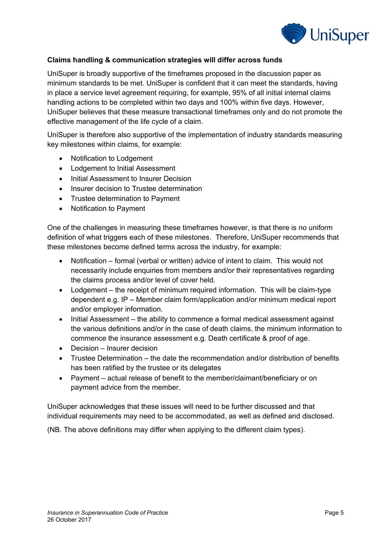

# **Claims handling & communication strategies will differ across funds**

UniSuper is broadly supportive of the timeframes proposed in the discussion paper as minimum standards to be met. UniSuper is confident that it can meet the standards, having in place a service level agreement requiring, for example, 95% of all initial internal claims handling actions to be completed within two days and 100% within five days. However, UniSuper believes that these measure transactional timeframes only and do not promote the effective management of the life cycle of a claim.

UniSuper is therefore also supportive of the implementation of industry standards measuring key milestones within claims, for example:

- Notification to Lodgement
- Lodgement to Initial Assessment
- Initial Assessment to Insurer Decision
- Insurer decision to Trustee determination
- Trustee determination to Payment
- Notification to Payment

One of the challenges in measuring these timeframes however, is that there is no uniform definition of what triggers each of these milestones. Therefore, UniSuper recommends that these milestones become defined terms across the industry, for example:

- Notification formal (verbal or written) advice of intent to claim. This would not necessarily include enquiries from members and/or their representatives regarding the claims process and/or level of cover held.
- Lodgement the receipt of minimum required information. This will be claim-type dependent e.g. IP – Member claim form/application and/or minimum medical report and/or employer information.
- Initial Assessment the ability to commence a formal medical assessment against the various definitions and/or in the case of death claims, the minimum information to commence the insurance assessment e.g. Death certificate & proof of age.
- Decision Insurer decision
- Trustee Determination the date the recommendation and/or distribution of benefits has been ratified by the trustee or its delegates
- Payment actual release of benefit to the member/claimant/beneficiary or on payment advice from the member.

UniSuper acknowledges that these issues will need to be further discussed and that individual requirements may need to be accommodated, as well as defined and disclosed.

(NB. The above definitions may differ when applying to the different claim types).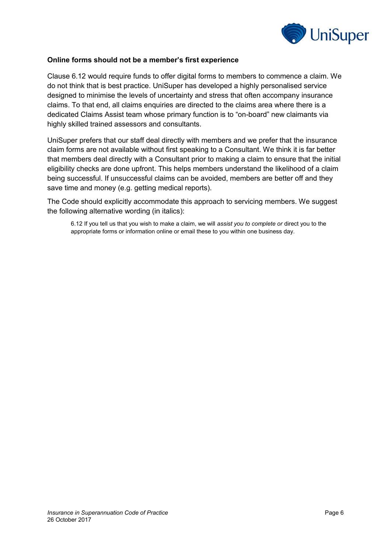

#### **Online forms should not be a member's first experience**

Clause 6.12 would require funds to offer digital forms to members to commence a claim. We do not think that is best practice. UniSuper has developed a highly personalised service designed to minimise the levels of uncertainty and stress that often accompany insurance claims. To that end, all claims enquiries are directed to the claims area where there is a dedicated Claims Assist team whose primary function is to "on-board" new claimants via highly skilled trained assessors and consultants.

UniSuper prefers that our staff deal directly with members and we prefer that the insurance claim forms are not available without first speaking to a Consultant. We think it is far better that members deal directly with a Consultant prior to making a claim to ensure that the initial eligibility checks are done upfront. This helps members understand the likelihood of a claim being successful. If unsuccessful claims can be avoided, members are better off and they save time and money (e.g. getting medical reports).

The Code should explicitly accommodate this approach to servicing members. We suggest the following alternative wording (in italics):

6.12 If you tell us that you wish to make a claim, we will *assist you to complete or* direct you to the appropriate forms or information online or email these to you within one business day.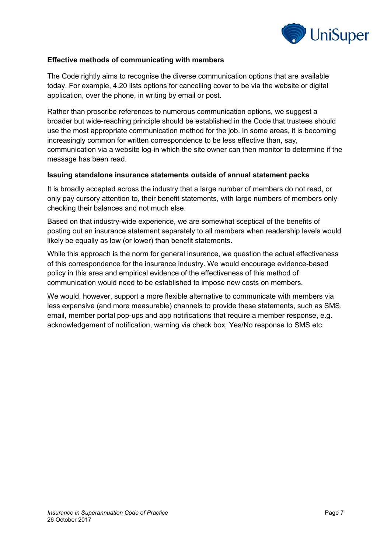

### **Effective methods of communicating with members**

The Code rightly aims to recognise the diverse communication options that are available today. For example, 4.20 lists options for cancelling cover to be via the website or digital application, over the phone, in writing by email or post.

Rather than proscribe references to numerous communication options, we suggest a broader but wide-reaching principle should be established in the Code that trustees should use the most appropriate communication method for the job. In some areas, it is becoming increasingly common for written correspondence to be less effective than, say, communication via a website log-in which the site owner can then monitor to determine if the message has been read.

#### **Issuing standalone insurance statements outside of annual statement packs**

It is broadly accepted across the industry that a large number of members do not read, or only pay cursory attention to, their benefit statements, with large numbers of members only checking their balances and not much else.

Based on that industry-wide experience, we are somewhat sceptical of the benefits of posting out an insurance statement separately to all members when readership levels would likely be equally as low (or lower) than benefit statements.

While this approach is the norm for general insurance, we question the actual effectiveness of this correspondence for the insurance industry. We would encourage evidence-based policy in this area and empirical evidence of the effectiveness of this method of communication would need to be established to impose new costs on members.

We would, however, support a more flexible alternative to communicate with members via less expensive (and more measurable) channels to provide these statements, such as SMS, email, member portal pop-ups and app notifications that require a member response, e.g. acknowledgement of notification, warning via check box, Yes/No response to SMS etc.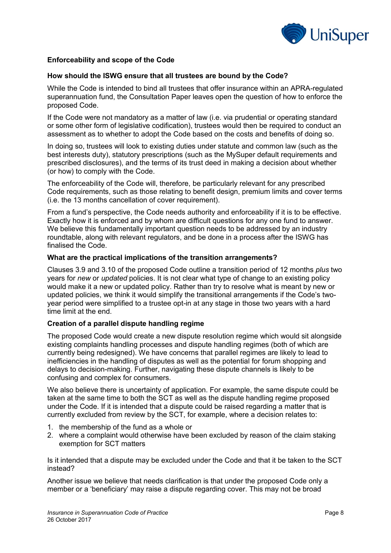

## **Enforceability and scope of the Code**

#### **How should the ISWG ensure that all trustees are bound by the Code?**

While the Code is intended to bind all trustees that offer insurance within an APRA-regulated superannuation fund, the Consultation Paper leaves open the question of how to enforce the proposed Code.

If the Code were not mandatory as a matter of law (i.e. via prudential or operating standard or some other form of legislative codification), trustees would then be required to conduct an assessment as to whether to adopt the Code based on the costs and benefits of doing so.

In doing so, trustees will look to existing duties under statute and common law (such as the best interests duty), statutory prescriptions (such as the MySuper default requirements and prescribed disclosures), and the terms of its trust deed in making a decision about whether (or how) to comply with the Code.

The enforceability of the Code will, therefore, be particularly relevant for any prescribed Code requirements, such as those relating to benefit design, premium limits and cover terms (i.e. the 13 months cancellation of cover requirement).

From a fund's perspective, the Code needs authority and enforceability if it is to be effective. Exactly how it is enforced and by whom are difficult questions for any one fund to answer. We believe this fundamentally important question needs to be addressed by an industry roundtable, along with relevant regulators, and be done in a process after the ISWG has finalised the Code.

#### **What are the practical implications of the transition arrangements?**

Clauses 3.9 and 3.10 of the proposed Code outline a transition period of 12 months *plus* two years for *new* or *updated* policies. It is not clear what type of change to an existing policy would make it a new or updated policy. Rather than try to resolve what is meant by new or updated policies, we think it would simplify the transitional arrangements if the Code's twoyear period were simplified to a trustee opt-in at any stage in those two years with a hard time limit at the end.

#### **Creation of a parallel dispute handling regime**

The proposed Code would create a new dispute resolution regime which would sit alongside existing complaints handling processes and dispute handling regimes (both of which are currently being redesigned). We have concerns that parallel regimes are likely to lead to inefficiencies in the handling of disputes as well as the potential for forum shopping and delays to decision-making. Further, navigating these dispute channels is likely to be confusing and complex for consumers.

We also believe there is uncertainty of application. For example, the same dispute could be taken at the same time to both the SCT as well as the dispute handling regime proposed under the Code. If it is intended that a dispute could be raised regarding a matter that is currently excluded from review by the SCT, for example, where a decision relates to:

- 1. the membership of the fund as a whole or
- 2. where a complaint would otherwise have been excluded by reason of the claim staking exemption for SCT matters

Is it intended that a dispute may be excluded under the Code and that it be taken to the SCT instead?

Another issue we believe that needs clarification is that under the proposed Code only a member or a 'beneficiary' may raise a dispute regarding cover. This may not be broad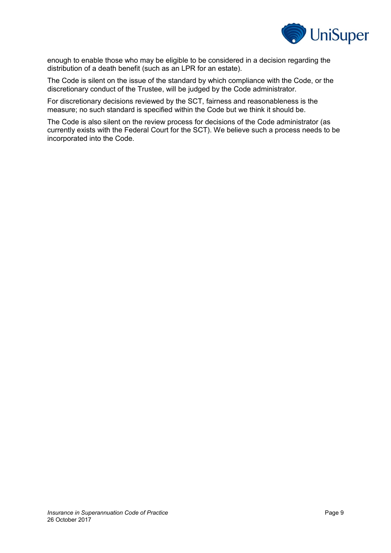

enough to enable those who may be eligible to be considered in a decision regarding the distribution of a death benefit (such as an LPR for an estate).

The Code is silent on the issue of the standard by which compliance with the Code, or the discretionary conduct of the Trustee, will be judged by the Code administrator.

For discretionary decisions reviewed by the SCT, fairness and reasonableness is the measure; no such standard is specified within the Code but we think it should be.

The Code is also silent on the review process for decisions of the Code administrator (as currently exists with the Federal Court for the SCT). We believe such a process needs to be incorporated into the Code.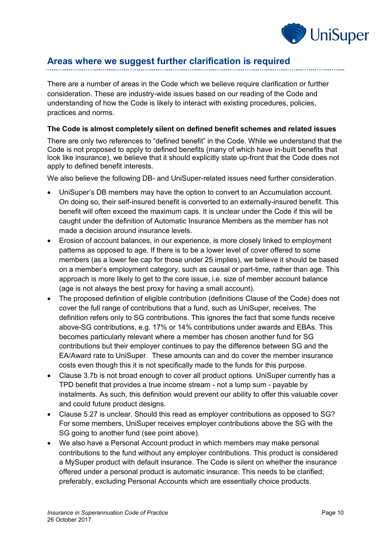

# **Areas where we suggest further clarification is required**

There are a number of areas in the Code which we believe require clarification or further consideration. These are industry-wide issues based on our reading of the Code and understanding of how the Code is likely to interact with existing procedures, policies, practices and norms.

#### **The Code is almost completely silent on defined benefit schemes and related issues**

There are only two references to "defined benefit" in the Code. While we understand that the Code is not proposed to apply to defined benefits (many of which have in-built benefits that look like insurance), we believe that it should explicitly state up-front that the Code does not apply to defined benefit interests.

We also believe the following DB- and UniSuper-related issues need further consideration.

- UniSuper's DB members may have the option to convert to an Accumulation account. On doing so, their self-insured benefit is converted to an externally-insured benefit. This benefit will often exceed the maximum caps. It is unclear under the Code if this will be caught under the definition of Automatic Insurance Members as the member has not made a decision around insurance levels.
- Erosion of account balances, in our experience, is more closely linked to employment patterns as opposed to age. If there is to be a lower level of cover offered to some members (as a lower fee cap for those under 25 implies), we believe it should be based on a member's employment category, such as causal or part-time, rather than age. This approach is more likely to get to the core issue, i.e. size of member account balance (age is not always the best proxy for having a small account).
- The proposed definition of eligible contribution (definitions Clause of the Code) does not cover the full range of contributions that a fund, such as UniSuper, receives. The definition refers only to SG contributions. This ignores the fact that some funds receive above-SG contributions, e.g. 17% or 14% contributions under awards and EBAs. This becomes particularly relevant where a member has chosen another fund for SG contributions but their employer continues to pay the difference between SG and the EA/Award rate to UniSuper. These amounts can and do cover the member insurance costs even though this it is not specifically made to the funds for this purpose.
- Clause 3.7b is not broad enough to cover all product options. UniSuper currently has a TPD benefit that provides a true income stream - not a lump sum - payable by instalments. As such, this definition would prevent our ability to offer this valuable cover and could future product designs.
- Clause 5.27 is unclear. Should this read as employer contributions as opposed to SG? For some members, UniSuper receives employer contributions above the SG with the SG going to another fund (see point above).
- We also have a Personal Account product in which members may make personal contributions to the fund without any employer contributions. This product is considered a MySuper product with default insurance. The Code is silent on whether the insurance offered under a personal product is automatic insurance. This needs to be clarified; preferably, excluding Personal Accounts which are essentially choice products.